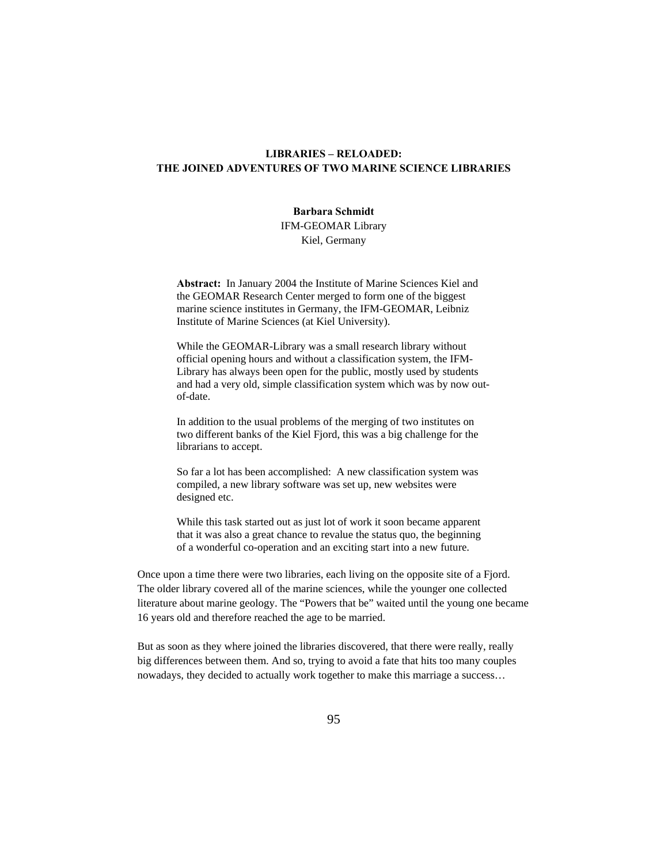# **LIBRARIES – RELOADED: THE JOINED ADVENTURES OF TWO MARINE SCIENCE LIBRARIES**

#### **Barbara Schmidt**

IFM-GEOMAR Library Kiel, Germany

**Abstract:** In January 2004 the Institute of Marine Sciences Kiel and the GEOMAR Research Center merged to form one of the biggest marine science institutes in Germany, the IFM-GEOMAR, Leibniz Institute of Marine Sciences (at Kiel University).

While the GEOMAR-Library was a small research library without official opening hours and without a classification system, the IFM-Library has always been open for the public, mostly used by students and had a very old, simple classification system which was by now outof-date.

In addition to the usual problems of the merging of two institutes on two different banks of the Kiel Fjord, this was a big challenge for the librarians to accept.

So far a lot has been accomplished: A new classification system was compiled, a new library software was set up, new websites were designed etc.

While this task started out as just lot of work it soon became apparent that it was also a great chance to revalue the status quo, the beginning of a wonderful co-operation and an exciting start into a new future.

Once upon a time there were two libraries, each living on the opposite site of a Fjord. The older library covered all of the marine sciences, while the younger one collected literature about marine geology. The "Powers that be" waited until the young one became 16 years old and therefore reached the age to be married.

But as soon as they where joined the libraries discovered, that there were really, really big differences between them. And so, trying to avoid a fate that hits too many couples nowadays, they decided to actually work together to make this marriage a success…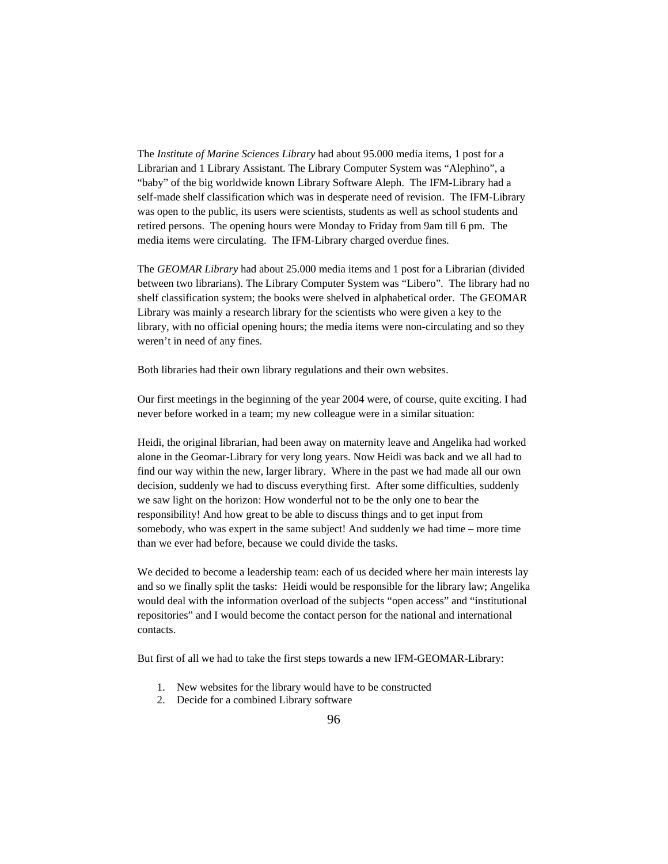The *Institute of Marine Sciences Library* had about 95.000 media items, 1 post for a Librarian and 1 Library Assistant. The Library Computer System was "Alephino", a "baby" of the big worldwide known Library Software Aleph. The IFM-Library had a self-made shelf classification which was in desperate need of revision. The IFM-Library was open to the public, its users were scientists, students as well as school students and retired persons. The opening hours were Monday to Friday from 9am till 6 pm. The media items were circulating. The IFM-Library charged overdue fines.

The *GEOMAR Library* had about 25.000 media items and 1 post for a Librarian (divided between two librarians). The Library Computer System was "Libero". The library had no shelf classification system; the books were shelved in alphabetical order. The GEOMAR Library was mainly a research library for the scientists who were given a key to the library, with no official opening hours; the media items were non-circulating and so they weren't in need of any fines.

Both libraries had their own library regulations and their own websites.

Our first meetings in the beginning of the year 2004 were, of course, quite exciting. I had never before worked in a team; my new colleague were in a similar situation:

Heidi, the original librarian, had been away on maternity leave and Angelika had worked alone in the Geomar-Library for very long years. Now Heidi was back and we all had to find our way within the new, larger library. Where in the past we had made all our own decision, suddenly we had to discuss everything first. After some difficulties, suddenly we saw light on the horizon: How wonderful not to be the only one to bear the responsibility! And how great to be able to discuss things and to get input from somebody, who was expert in the same subject! And suddenly we had time – more time than we ever had before, because we could divide the tasks.

We decided to become a leadership team: each of us decided where her main interests lay and so we finally split the tasks: Heidi would be responsible for the library law; Angelika would deal with the information overload of the subjects "open access" and "institutional repositories" and I would become the contact person for the national and international contacts.

But first of all we had to take the first steps towards a new IFM-GEOMAR-Library:

- 1. New websites for the library would have to be constructed
- 2. Decide for a combined Library software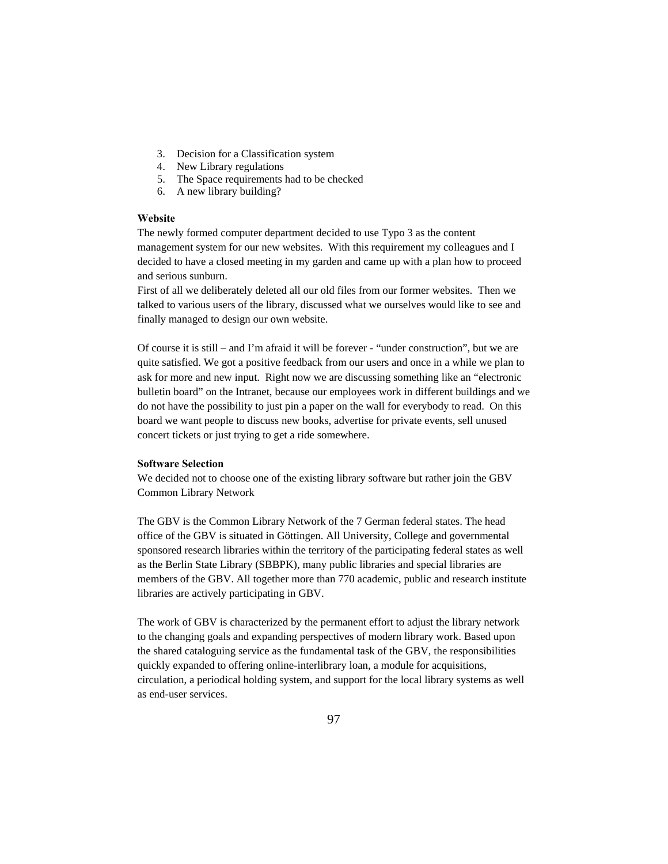- 3. Decision for a Classification system
- 4. New Library regulations
- 5. The Space requirements had to be checked
- 6. A new library building?

## **Website**

The newly formed computer department decided to use Typo 3 as the content management system for our new websites. With this requirement my colleagues and I decided to have a closed meeting in my garden and came up with a plan how to proceed and serious sunburn.

First of all we deliberately deleted all our old files from our former websites. Then we talked to various users of the library, discussed what we ourselves would like to see and finally managed to design our own website.

Of course it is still – and I'm afraid it will be forever - "under construction", but we are quite satisfied. We got a positive feedback from our users and once in a while we plan to ask for more and new input. Right now we are discussing something like an "electronic bulletin board" on the Intranet, because our employees work in different buildings and we do not have the possibility to just pin a paper on the wall for everybody to read. On this board we want people to discuss new books, advertise for private events, sell unused concert tickets or just trying to get a ride somewhere.

#### **Software Selection**

We decided not to choose one of the existing library software but rather join the GBV Common Library Network

The GBV is the Common Library Network of the 7 German federal states. The head office of the GBV is situated in Göttingen. All University, College and governmental sponsored research libraries within the territory of the participating federal states as well as the Berlin State Library (SBBPK), many public libraries and special libraries are members of the GBV. All together more than 770 academic, public and research institute libraries are actively participating in GBV.

The work of GBV is characterized by the permanent effort to adjust the library network to the changing goals and expanding perspectives of modern library work. Based upon the shared cataloguing service as the fundamental task of the GBV, the responsibilities quickly expanded to offering online-interlibrary loan, a module for acquisitions, circulation, a periodical holding system, and support for the local library systems as well as end-user services.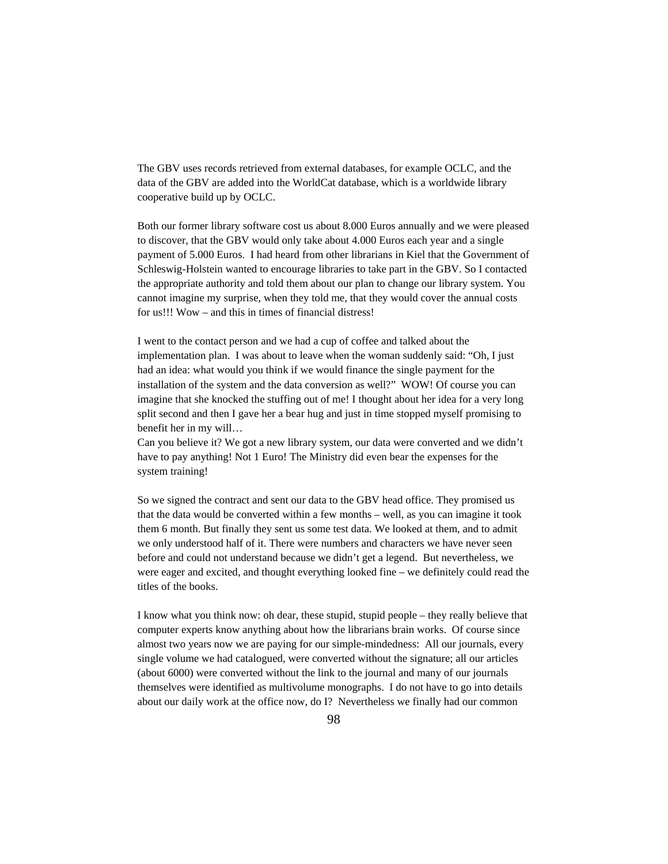The GBV uses records retrieved from external databases, for example OCLC, and the data of the GBV are added into the WorldCat database, which is a worldwide library cooperative build up by OCLC.

Both our former library software cost us about 8.000 Euros annually and we were pleased to discover, that the GBV would only take about 4.000 Euros each year and a single payment of 5.000 Euros. I had heard from other librarians in Kiel that the Government of Schleswig-Holstein wanted to encourage libraries to take part in the GBV. So I contacted the appropriate authority and told them about our plan to change our library system. You cannot imagine my surprise, when they told me, that they would cover the annual costs for us!!! Wow – and this in times of financial distress!

I went to the contact person and we had a cup of coffee and talked about the implementation plan. I was about to leave when the woman suddenly said: "Oh, I just had an idea: what would you think if we would finance the single payment for the installation of the system and the data conversion as well?" WOW! Of course you can imagine that she knocked the stuffing out of me! I thought about her idea for a very long split second and then I gave her a bear hug and just in time stopped myself promising to benefit her in my will…

Can you believe it? We got a new library system, our data were converted and we didn't have to pay anything! Not 1 Euro! The Ministry did even bear the expenses for the system training!

So we signed the contract and sent our data to the GBV head office. They promised us that the data would be converted within a few months – well, as you can imagine it took them 6 month. But finally they sent us some test data. We looked at them, and to admit we only understood half of it. There were numbers and characters we have never seen before and could not understand because we didn't get a legend. But nevertheless, we were eager and excited, and thought everything looked fine – we definitely could read the titles of the books.

I know what you think now: oh dear, these stupid, stupid people – they really believe that computer experts know anything about how the librarians brain works. Of course since almost two years now we are paying for our simple-mindedness: All our journals, every single volume we had catalogued, were converted without the signature; all our articles (about 6000) were converted without the link to the journal and many of our journals themselves were identified as multivolume monographs. I do not have to go into details about our daily work at the office now, do I? Nevertheless we finally had our common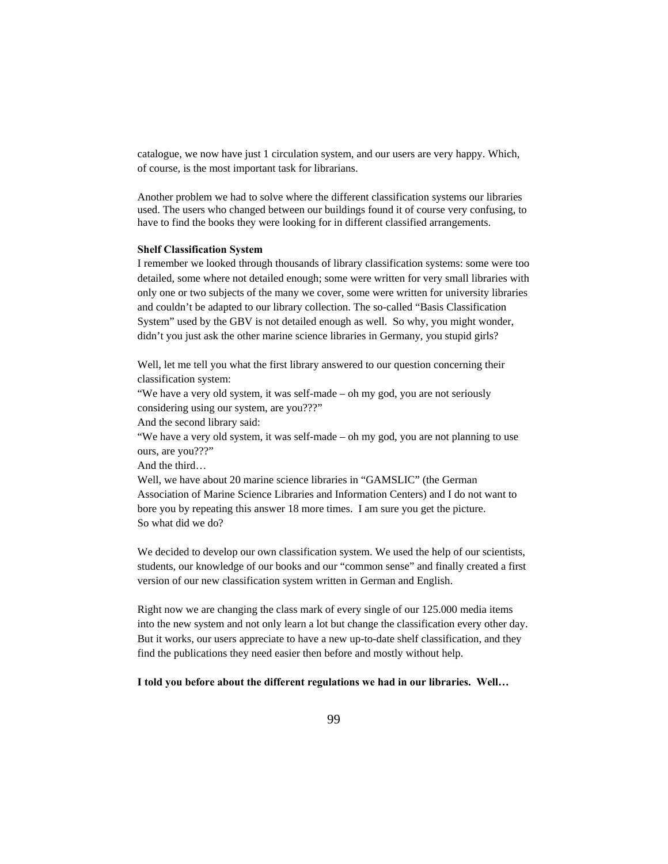catalogue, we now have just 1 circulation system, and our users are very happy. Which, of course, is the most important task for librarians.

Another problem we had to solve where the different classification systems our libraries used. The users who changed between our buildings found it of course very confusing, to have to find the books they were looking for in different classified arrangements.

#### **Shelf Classification System**

I remember we looked through thousands of library classification systems: some were too detailed, some where not detailed enough; some were written for very small libraries with only one or two subjects of the many we cover, some were written for university libraries and couldn't be adapted to our library collection. The so-called "Basis Classification System" used by the GBV is not detailed enough as well. So why, you might wonder, didn't you just ask the other marine science libraries in Germany, you stupid girls?

Well, let me tell you what the first library answered to our question concerning their classification system:

"We have a very old system, it was self-made – oh my god, you are not seriously considering using our system, are you???"

And the second library said:

"We have a very old system, it was self-made – oh my god, you are not planning to use ours, are you???"

And the third…

Well, we have about 20 marine science libraries in "GAMSLIC" (the German Association of Marine Science Libraries and Information Centers) and I do not want to bore you by repeating this answer 18 more times. I am sure you get the picture. So what did we do?

We decided to develop our own classification system. We used the help of our scientists, students, our knowledge of our books and our "common sense" and finally created a first version of our new classification system written in German and English.

Right now we are changing the class mark of every single of our 125.000 media items into the new system and not only learn a lot but change the classification every other day. But it works, our users appreciate to have a new up-to-date shelf classification, and they find the publications they need easier then before and mostly without help.

### **I told you before about the different regulations we had in our libraries. Well…**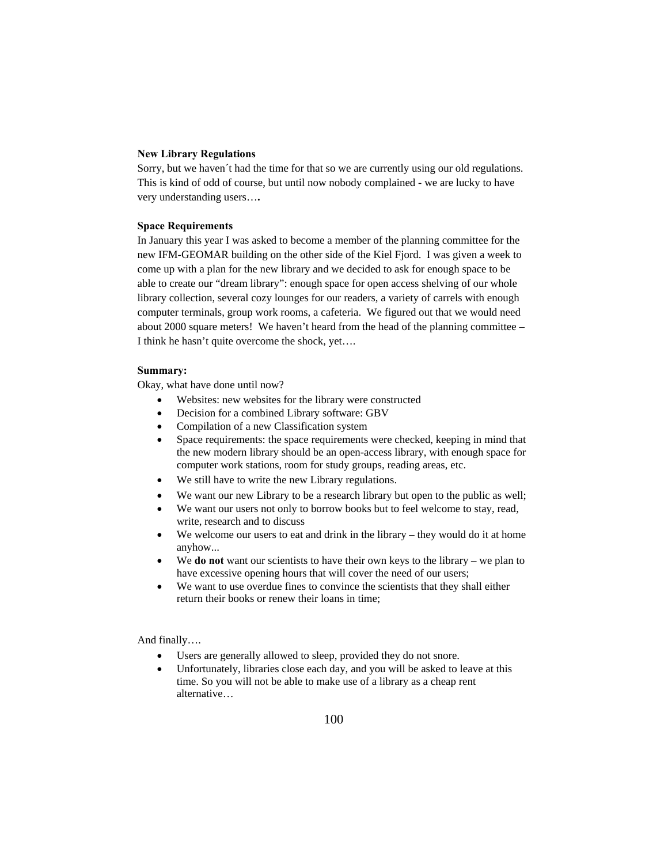#### **New Library Regulations**

Sorry, but we haven´t had the time for that so we are currently using our old regulations. This is kind of odd of course, but until now nobody complained - we are lucky to have very understanding users…**.** 

# **Space Requirements**

In January this year I was asked to become a member of the planning committee for the new IFM-GEOMAR building on the other side of the Kiel Fjord. I was given a week to come up with a plan for the new library and we decided to ask for enough space to be able to create our "dream library": enough space for open access shelving of our whole library collection, several cozy lounges for our readers, a variety of carrels with enough computer terminals, group work rooms, a cafeteria. We figured out that we would need about 2000 square meters! We haven't heard from the head of the planning committee – I think he hasn't quite overcome the shock, yet….

## **Summary:**

Okay, what have done until now?

- Websites: new websites for the library were constructed
- Decision for a combined Library software: GBV
- Compilation of a new Classification system
- Space requirements: the space requirements were checked, keeping in mind that the new modern library should be an open-access library, with enough space for computer work stations, room for study groups, reading areas, etc.
- We still have to write the new Library regulations.
- We want our new Library to be a research library but open to the public as well;
- We want our users not only to borrow books but to feel welcome to stay, read, write, research and to discuss
- We welcome our users to eat and drink in the library they would do it at home anyhow...
- We **do not** want our scientists to have their own keys to the library we plan to have excessive opening hours that will cover the need of our users;
- We want to use overdue fines to convince the scientists that they shall either return their books or renew their loans in time;

And finally….

- Users are generally allowed to sleep, provided they do not snore.
- Unfortunately, libraries close each day, and you will be asked to leave at this time. So you will not be able to make use of a library as a cheap rent alternative…